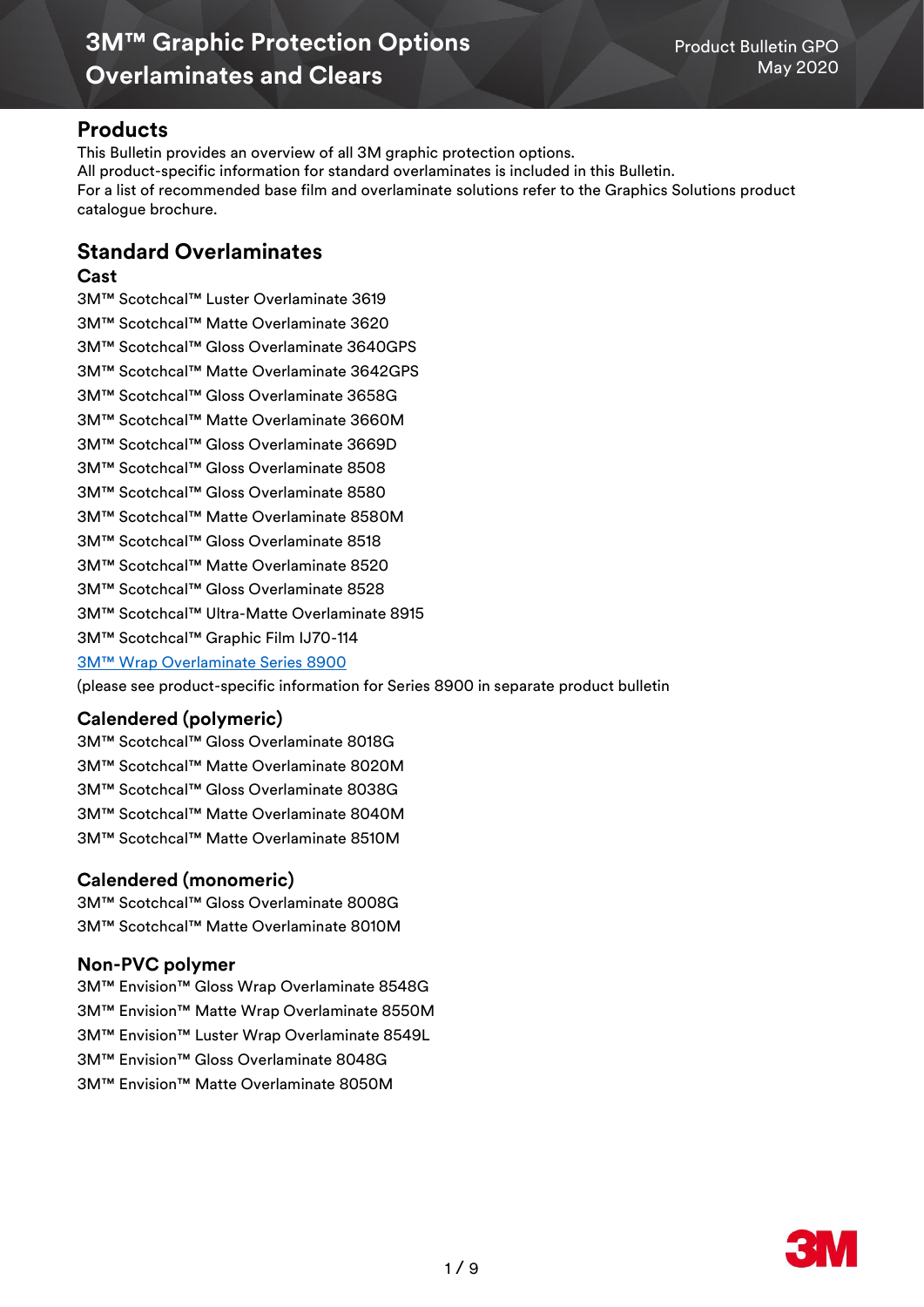## **Products**

This Bulletin provides an overview of all 3M graphic protection options. All product-specific information for standard overlaminates is included in this Bulletin. For a list of recommended base film and overlaminate solutions refer to the Graphics Solutions product catalogue brochure.

## **Standard Overlaminates**

### **Cast**

3M™ Scotchcal™ Luster Overlaminate 3619 3M™ Scotchcal™ Matte Overlaminate 3620 3M™ Scotchcal™ Gloss Overlaminate 3640GPS 3M™ Scotchcal™ Matte Overlaminate 3642GPS 3M™ Scotchcal™ Gloss Overlaminate 3658G 3M™ Scotchcal™ Matte Overlaminate 3660M 3M™ Scotchcal™ Gloss Overlaminate 3669D 3M™ Scotchcal™ Gloss Overlaminate 8508 3M™ Scotchcal™ Gloss Overlaminate 8580 3M™ Scotchcal™ Matte Overlaminate 8580M 3M™ Scotchcal™ Gloss Overlaminate 8518 3M™ Scotchcal™ Matte Overlaminate 8520 3M™ Scotchcal™ Gloss Overlaminate 8528 3M™ Scotchcal™ Ultra-Matte Overlaminate 8915 3M™ Scotchcal™ Graphic Film IJ70-114 3M™ Wrap Over[laminate Series 8900](http://multimedia.3m.com/mws/media/1255387O/product-bulletin-8900.pdf)

[\(please see product-specific information for Series 8900 in separate product bulletin](http://multimedia.3m.com/mws/media/1255387O/product-bulletin-8900.pdf)

## **Calendered (polymeric)**

3M™ Scotchcal™ Gloss Overlaminate 8018G 3M™ Scotchcal™ Matte Overlaminate 8020M 3M™ Scotchcal™ Gloss Overlaminate 8038G 3M™ Scotchcal™ Matte Overlaminate 8040M 3M™ Scotchcal™ Matte Overlaminate 8510M

## **Calendered (monomeric)**

3M™ Scotchcal™ Gloss Overlaminate 8008G 3M™ Scotchcal™ Matte Overlaminate 8010M

## **Non-PVC polymer**

3M™ Envision™ Gloss Wrap Overlaminate 8548G

3M™ Envision™ Matte Wrap Overlaminate 8550M

3M™ Envision™ Luster Wrap Overlaminate 8549L

3M™ Envision™ Gloss Overlaminate 8048G

3M™ Envision™ Matte Overlaminate 8050M

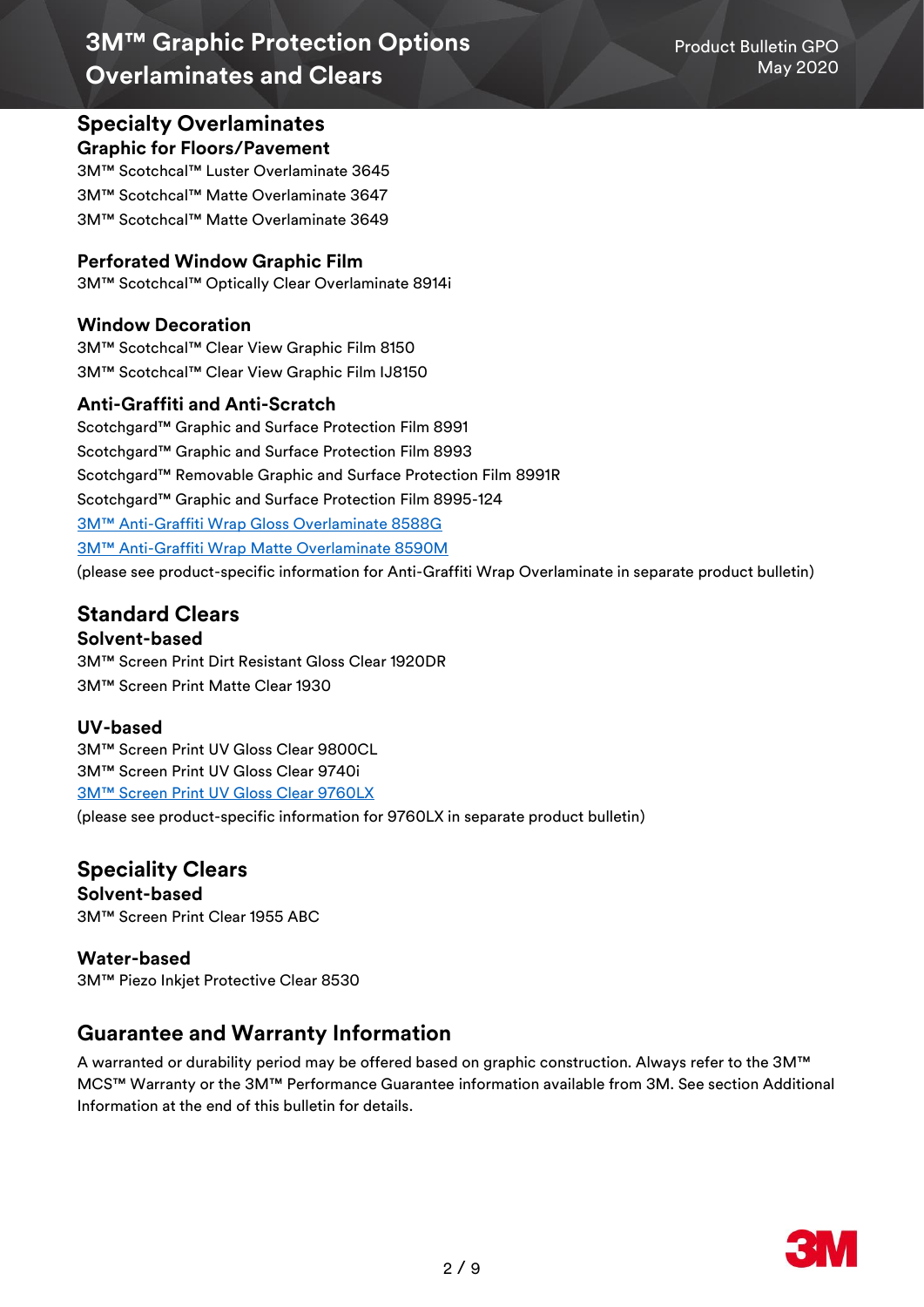## **Specialty Overlaminates**

### **Graphic for Floors/Pavement**

3M™ Scotchcal™ Luster Overlaminate 3645 3M™ Scotchcal™ Matte Overlaminate 3647 3M™ Scotchcal™ Matte Overlaminate 3649

## **Perforated Window Graphic Film**

3M™ Scotchcal™ Optically Clear Overlaminate 8914i

## **Window Decoration**

3M™ Scotchcal™ Clear View Graphic Film 8150 3M™ Scotchcal™ Clear View Graphic Film IJ8150

## **Anti-Graffiti and Anti-Scratch**

Scotchgard™ Graphic and Surface Protection Film 8991 Scotchgard™ Graphic and Surface Protection Film 8993 Scotchgard™ Removable Graphic and Surface Protection Film 8991R Scotchgard™ Graphic and Surface Protection Film 8995-124 3M™ Anti[-Graffiti Wrap Gloss Overlaminate 8588G](https://multimedia.3m.com/mws/media/1506339O/product-bulletin-3m-eu-pb-8588g-8590m-2018-1.pdf) 3M™ Anti[-Graffiti Wrap Matte Overlaminate 8590M](https://multimedia.3m.com/mws/media/1506339O/product-bulletin-3m-eu-pb-8588g-8590m-2018-1.pdf) [\(please see product-specific information for Anti-Graffiti Wrap Overlaminate in separate product bulletin\)](http://multimedia.3m.com/mws/media/1255387O/product-bulletin-8900.pdf)

## **Standard Clears**

## **Solvent-based**

3M™ Screen Print Dirt Resistant Gloss Clear 1920DR 3M™ Screen Print Matte Clear 1930

## **UV-based**

3M™ Screen Print UV Gloss Clear 9800CL 3M™ Screen Print UV Gloss Clear 9740i [3M™ Screen Print UV Gloss Clear 9760LX](https://multimedia.3m.com/mws/media/1462729O/product-bulletin-3m-screen-print-uv-gloss-clear-9760lx.pdf)

[\(please see product-specific information for 9760LX in separate product bulletin\)](http://multimedia.3m.com/mws/media/1255387O/product-bulletin-8900.pdf)

# **Speciality Clears**

**Solvent-based** 3M™ Screen Print Clear 1955 ABC

**Water-based** 3M™ Piezo Inkjet Protective Clear 8530

## **Guarantee and Warranty Information**

A warranted or durability period may be offered based on graphic construction. Always refer to the 3M™ MCS™ Warranty or the 3M™ Performance Guarantee information available from 3M. See section Additional Information at the end of this bulletin for details.

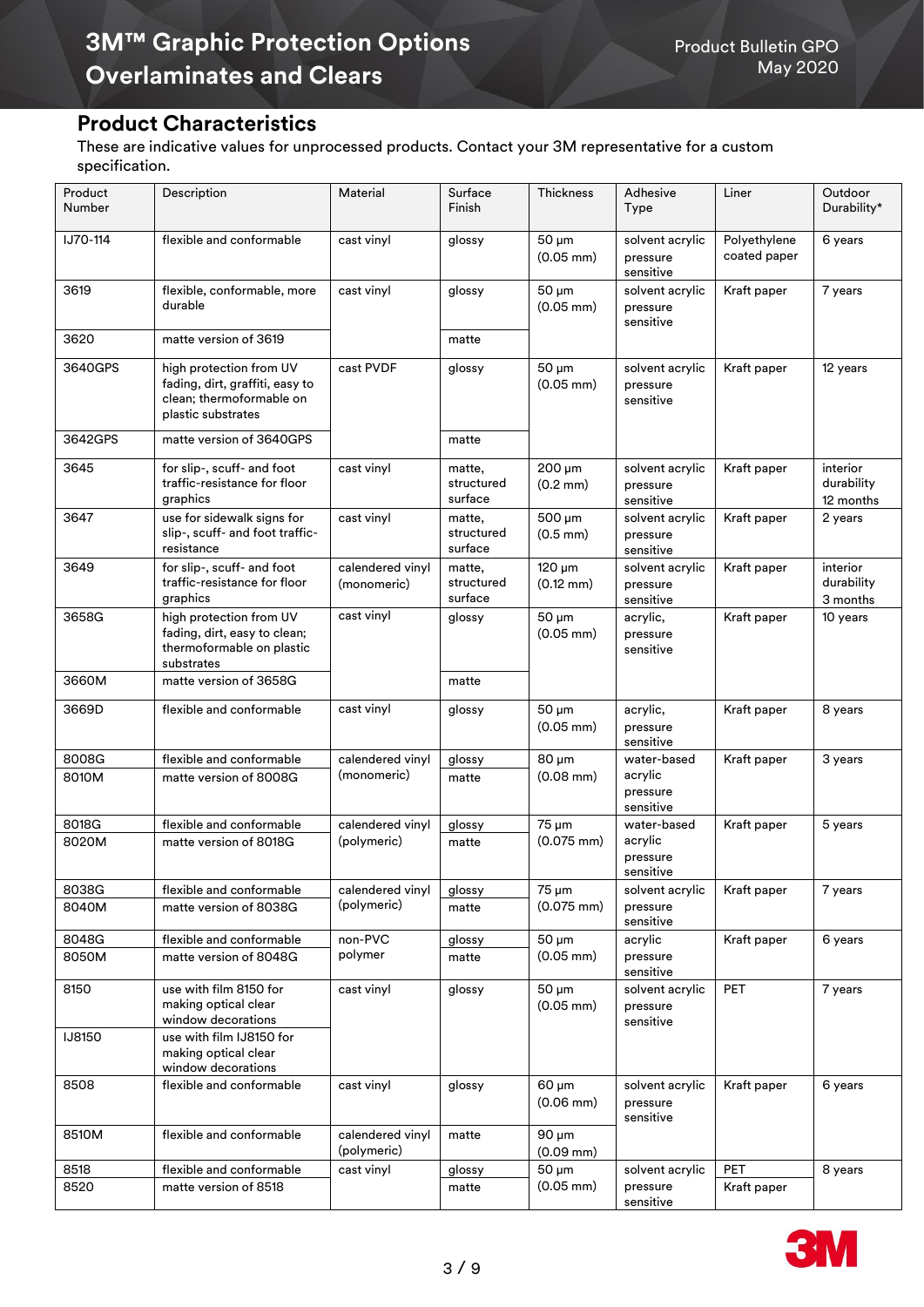## **Product Characteristics**

These are indicative values for unprocessed products. Contact your 3M representative for a custom specification.

| Product<br>Number | Description                                                                                                  | Material                        | Surface<br>Finish               | Thickness                           | Adhesive<br>Type                                | Liner                        | Outdoor<br>Durability*              |
|-------------------|--------------------------------------------------------------------------------------------------------------|---------------------------------|---------------------------------|-------------------------------------|-------------------------------------------------|------------------------------|-------------------------------------|
| IJ70-114          | flexible and conformable                                                                                     | cast vinyl                      | glossy                          | $50 \mu m$<br>$(0.05 \, \text{mm})$ | solvent acrylic<br>pressure<br>sensitive        | Polyethylene<br>coated paper | 6 years                             |
| 3619              | flexible, conformable, more<br>durable                                                                       | cast vinyl                      | glossy                          | 50 µm<br>$(0.05 \, \text{mm})$      | solvent acrylic<br>pressure<br>sensitive        | Kraft paper                  | 7 years                             |
| 3620              | matte version of 3619                                                                                        |                                 | matte                           |                                     |                                                 |                              |                                     |
| 3640GPS           | high protection from UV<br>fading, dirt, graffiti, easy to<br>clean; thermoformable on<br>plastic substrates | cast PVDF                       | glossy                          | $50 \mu m$<br>$(0.05$ mm $)$        | solvent acrylic<br>pressure<br>sensitive        | Kraft paper                  | 12 years                            |
| 3642GPS           | matte version of 3640GPS                                                                                     |                                 | matte                           |                                     |                                                 |                              |                                     |
| 3645              | for slip-, scuff- and foot<br>traffic-resistance for floor<br>graphics                                       | cast vinyl                      | matte,<br>structured<br>surface | 200 µm<br>$(0.2 \text{ mm})$        | solvent acrylic<br>pressure<br>sensitive        | Kraft paper                  | interior<br>durability<br>12 months |
| 3647              | use for sidewalk signs for<br>slip-, scuff- and foot traffic-<br>resistance                                  | cast vinyl                      | matte,<br>structured<br>surface | 500 µm<br>$(0.5 \, \text{mm})$      | solvent acrylic<br>pressure<br>sensitive        | Kraft paper                  | 2 years                             |
| 3649              | for slip-, scuff- and foot<br>traffic-resistance for floor<br>graphics                                       | calendered vinyl<br>(monomeric) | matte,<br>structured<br>surface | $120 \mu m$<br>$(0.12 \text{ mm})$  | solvent acrylic<br>pressure<br>sensitive        | Kraft paper                  | interior<br>durability<br>3 months  |
| 3658G             | high protection from UV<br>fading, dirt, easy to clean;<br>thermoformable on plastic<br>substrates           | cast vinyl                      | glossy                          | 50 µm<br>$(0.05 \, \text{mm})$      | acrylic,<br>pressure<br>sensitive               | Kraft paper                  | 10 years                            |
| 3660M             | matte version of 3658G                                                                                       |                                 | matte                           |                                     |                                                 |                              |                                     |
| 3669D             | flexible and conformable                                                                                     | cast vinyl                      | glossy                          | $50 \mu m$<br>$(0.05 \text{ mm})$   | acrylic,<br>pressure<br>sensitive               | Kraft paper                  | 8 years                             |
| 8008G<br>8010M    | flexible and conformable<br>matte version of 8008G                                                           | calendered vinyl<br>(monomeric) | glossy<br>matte                 | $80 \mu m$<br>$(0.08$ mm $)$        | water-based<br>acrylic<br>pressure<br>sensitive | Kraft paper                  | 3 years                             |
| 8018G             | flexible and conformable                                                                                     | calendered vinyl                | glossy                          | 75 µm                               | water-based                                     | Kraft paper                  | 5 years                             |
| 8020M             | matte version of 8018G                                                                                       | (polymeric)                     | matte                           | $(0.075$ mm $)$                     | acrylic<br>pressure<br>sensitive                |                              |                                     |
| 8038G             | flexible and conformable                                                                                     | calendered vinyl                | glossy                          | 75 µm                               | solvent acrylic                                 | Kraft paper                  | 7 years                             |
| 8040M             | matte version of 8038G                                                                                       | (polymeric)                     | matte                           | $(0.075 \text{ mm})$                | pressure<br>sensitive                           |                              |                                     |
| 8048G             | flexible and conformable                                                                                     | non-PVC                         | glossy                          | $50 \mu m$                          | acrylic                                         | Kraft paper                  | 6 years                             |
| 8050M             | matte version of 8048G                                                                                       | polymer                         | matte                           | $(0.05 \text{ mm})$                 | pressure<br>sensitive                           |                              |                                     |
| 8150              | use with film 8150 for<br>making optical clear<br>window decorations                                         | cast vinyl                      | glossy                          | 50 µm<br>$(0.05 \, \text{mm})$      | solvent acrylic<br>pressure<br>sensitive        | <b>PET</b>                   | 7 years                             |
| <b>IJ8150</b>     | use with film IJ8150 for<br>making optical clear<br>window decorations                                       |                                 |                                 |                                     |                                                 |                              |                                     |
| 8508              | flexible and conformable                                                                                     | cast vinyl                      | glossy                          | $60 \mu m$<br>$(0.06$ mm $)$        | solvent acrylic<br>pressure<br>sensitive        | Kraft paper                  | 6 years                             |
| 8510M             | flexible and conformable                                                                                     | calendered vinyl<br>(polymeric) | matte                           | 90 µm<br>$(0.09$ mm $)$             |                                                 |                              |                                     |
| 8518              | flexible and conformable                                                                                     | cast vinyl                      | glossy                          | 50 µm                               | solvent acrylic                                 | PET                          | 8 years                             |
| 8520              | matte version of 8518                                                                                        |                                 | matte                           | $(0.05 \text{ mm})$                 | pressure<br>sensitive                           | Kraft paper                  |                                     |

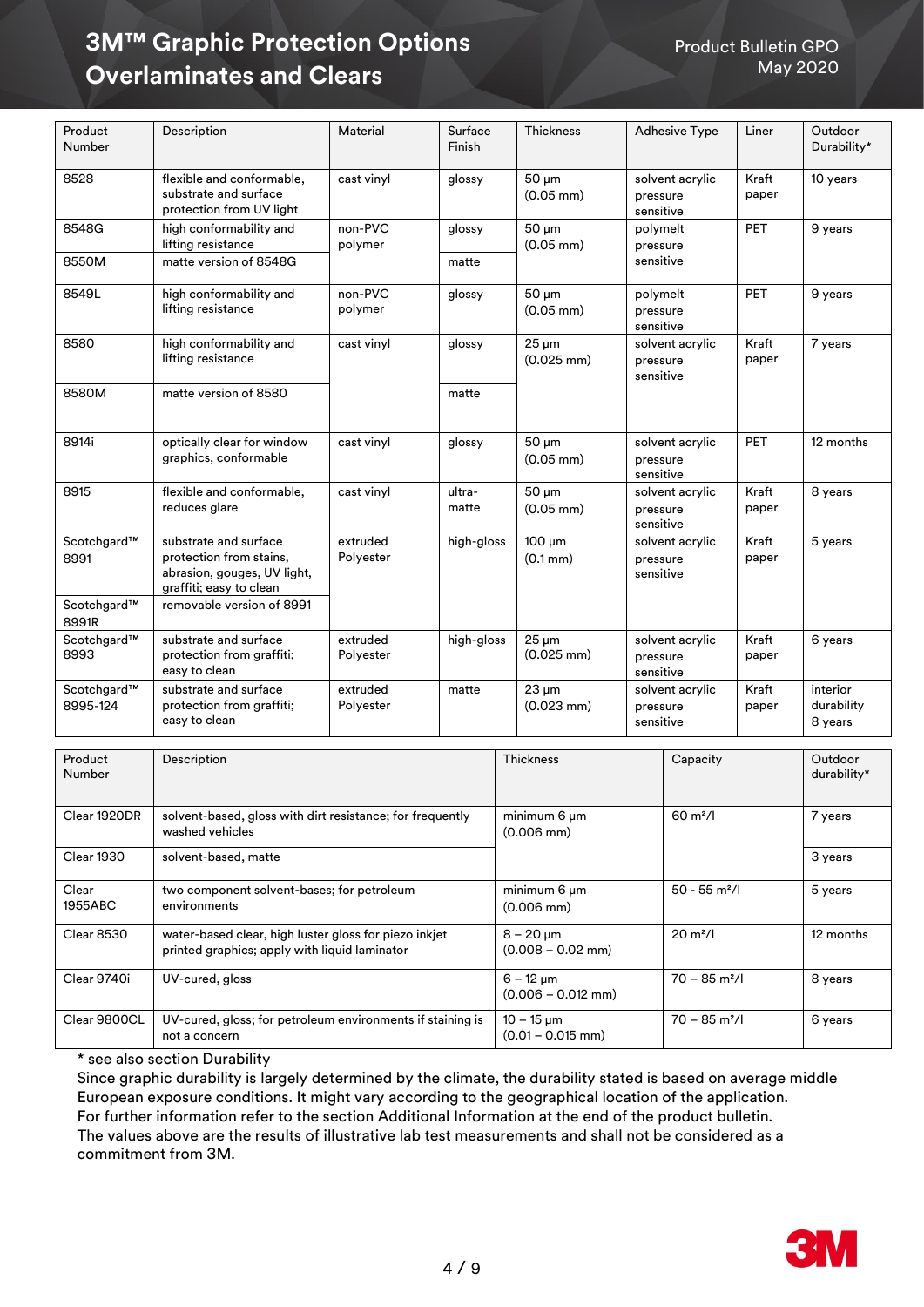| Product<br>Number       | Description                                                                                                | Material              | Surface<br>Finish | <b>Thickness</b>                    | <b>Adhesive Type</b>                     | Liner          | Outdoor<br>Durability*            |
|-------------------------|------------------------------------------------------------------------------------------------------------|-----------------------|-------------------|-------------------------------------|------------------------------------------|----------------|-----------------------------------|
| 8528                    | flexible and conformable,<br>substrate and surface<br>protection from UV light                             | cast vinyl            | glossy            | $50 \mu m$<br>$(0.05$ mm $)$        | solvent acrylic<br>pressure<br>sensitive | Kraft<br>paper | 10 years                          |
| 8548G                   | high conformability and<br>lifting resistance                                                              | non-PVC<br>polymer    | glossy            | $50 \mu m$<br>$(0.05$ mm)           | polymelt<br>pressure                     | PET            | 9 years                           |
| 8550M                   | matte version of 8548G                                                                                     |                       | matte             |                                     | sensitive                                |                |                                   |
| 8549L                   | high conformability and<br>lifting resistance                                                              | non-PVC<br>polymer    | glossy            | 50 um<br>$(0.05$ mm)                | polymelt<br>pressure<br>sensitive        | PET            | 9 years                           |
| 8580                    | high conformability and<br>lifting resistance                                                              | cast vinyl            | glossy            | $25 \mu m$<br>$(0.025$ mm $)$       | solvent acrylic<br>pressure<br>sensitive | Kraft<br>paper | 7 years                           |
| 8580M                   | matte version of 8580                                                                                      |                       | matte             |                                     |                                          |                |                                   |
| 8914i                   | optically clear for window<br>graphics, conformable                                                        | cast vinyl            | glossy            | 50 um<br>$(0.05$ mm $)$             | solvent acrylic<br>pressure<br>sensitive | <b>PET</b>     | 12 months                         |
| 8915                    | flexible and conformable,<br>reduces glare                                                                 | cast vinyl            | ultra-<br>matte   | 50 um<br>$(0.05$ mm $)$             | solvent acrylic<br>pressure<br>sensitive | Kraft<br>paper | 8 years                           |
| Scotchgard™<br>8991     | substrate and surface<br>protection from stains,<br>abrasion, gouges, UV light,<br>graffiti; easy to clean | extruded<br>Polyester | high-gloss        | $100 \mu m$<br>$(0.1 \, \text{mm})$ | solvent acrylic<br>pressure<br>sensitive | Kraft<br>paper | 5 years                           |
| Scotchgard™<br>8991R    | removable version of 8991                                                                                  |                       |                   |                                     |                                          |                |                                   |
| Scotchgard™<br>8993     | substrate and surface<br>protection from graffiti;<br>easy to clean                                        | extruded<br>Polyester | high-gloss        | $25 \mu m$<br>$(0.025$ mm $)$       | solvent acrylic<br>pressure<br>sensitive | Kraft<br>paper | 6 years                           |
| Scotchgard™<br>8995-124 | substrate and surface<br>protection from graffiti;<br>easy to clean                                        | extruded<br>Polyester | matte             | $23 \mu m$<br>$(0.023 \text{ mm})$  | solvent acrylic<br>pressure<br>sensitive | Kraft<br>paper | interior<br>durability<br>8 years |

| Product<br>Number | Description                                                                                            | <b>Thickness</b>                         | Capacity                    | Outdoor<br>durability* |
|-------------------|--------------------------------------------------------------------------------------------------------|------------------------------------------|-----------------------------|------------------------|
| Clear 1920DR      | solvent-based, gloss with dirt resistance; for frequently<br>washed vehicles                           | minimum 6 um<br>$(0.006 \text{ mm})$     | $60 \text{ m}^2$ /l         | 7 years                |
| <b>Clear 1930</b> | solvent-based, matte                                                                                   |                                          |                             | 3 years                |
| Clear<br>1955ABC  | two component solvent-bases; for petroleum<br>environments                                             | minimum 6 um<br>$(0.006$ mm $)$          | $50 - 55$ m <sup>2</sup> /l | 5 years                |
| <b>Clear 8530</b> | water-based clear, high luster gloss for piezo inkjet<br>printed graphics; apply with liquid laminator | $8 - 20 \,\mu m$<br>$(0.008 - 0.02$ mm)  | $20 \text{ m}^2$ /          | 12 months              |
| Clear 9740i       | UV-cured, gloss                                                                                        | $6 - 12 \mu m$<br>$(0.006 - 0.012$ mm)   | $70 - 85$ m <sup>2</sup> /l | 8 years                |
| Clear 9800CL      | UV-cured, gloss; for petroleum environments if staining is<br>not a concern                            | $10 - 15 \,\mu m$<br>$(0.01 - 0.015$ mm) | $70 - 85$ m <sup>2</sup> /l | 6 years                |

\* see also section Durability

Since graphic durability is largely determined by the climate, the durability stated is based on average middle European exposure conditions. It might vary according to the geographical location of the application. For further information refer to the section Additional Information at the end of the product bulletin. The values above are the results of illustrative lab test measurements and shall not be considered as a commitment from 3M.

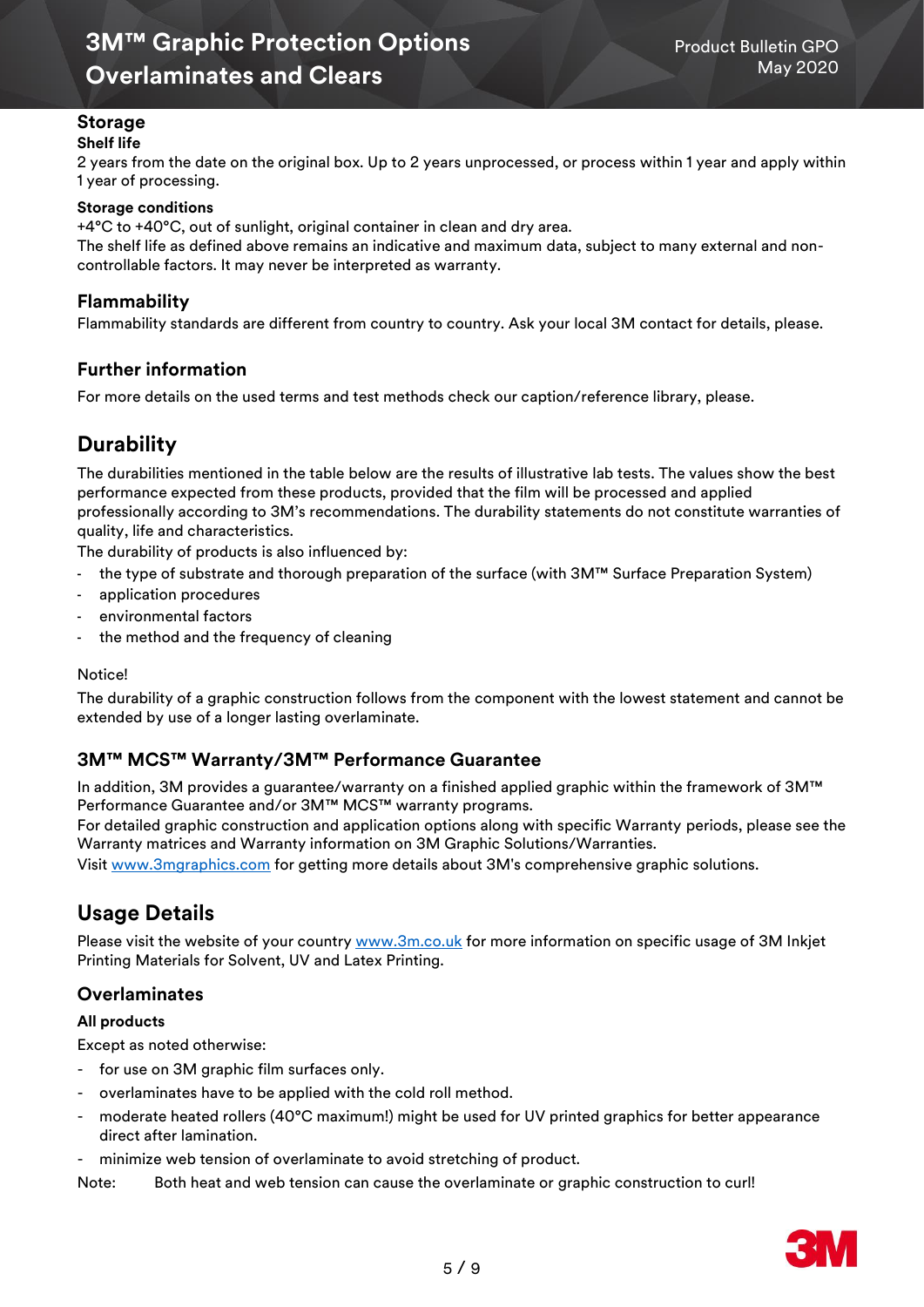## **Storage**

### **Shelf life**

2 years from the date on the original box. Up to 2 years unprocessed, or process within 1 year and apply within 1 year of processing.

#### **Storage conditions**

+4°C to +40°C, out of sunlight, original container in clean and dry area.

The shelf life as defined above remains an indicative and maximum data, subject to many external and noncontrollable factors. It may never be interpreted as warranty.

### **Flammability**

Flammability standards are different from country to country. Ask your local 3M contact for details, please.

## **Further information**

For more details on the used terms and test methods check our caption/reference library, please.

## **Durability**

The durabilities mentioned in the table below are the results of illustrative lab tests. The values show the best performance expected from these products, provided that the film will be processed and applied professionally according to 3M's recommendations. The durability statements do not constitute warranties of quality, life and characteristics.

The durability of products is also influenced by:

- the type of substrate and thorough preparation of the surface (with 3M™ Surface Preparation System)
- application procedures
- environmental factors
- the method and the frequency of cleaning

#### Notice!

The durability of a graphic construction follows from the component with the lowest statement and cannot be extended by use of a longer lasting overlaminate.

## **3M™ MCS™ Warranty/3M™ Performance Guarantee**

In addition, 3M provides a guarantee/warranty on a finished applied graphic within the framework of 3M™ Performance Guarantee and/or 3M™ MCS™ warranty programs.

[For detailed graphic construction and application options along with specific Warranty periods, please see the](http://solutions.3m.com/wps/portal/3M/en_EU/3MGraphics/GraphicSolutions/Support/Warranties/)  [Warranty matrices and Warranty information on 3M Graphic Solutions/Warranties.](http://solutions.3m.com/wps/portal/3M/en_EU/3MGraphics/GraphicSolutions/Support/Warranties/)

Visit [www.3mgraphics.com](https://www.3m.com/3M/en_US/graphics-signage-us/?utm_medium=redirect&utm_source=vanity-url&utm_campaign=www.3Mgraphics.com) for getting more details about 3M's comprehensive graphic solutions.

## **Usage Details**

Please visit the website of your country [www.3m.co.uk](https://www.3m.co.uk/3M/en_GB/graphics-and-signage-uk/resources/warranties/) for more information on specific usage of 3M Inkjet Printing Materials for Solvent, UV and Latex Printing.

## **Overlaminates**

#### **All products**

Except as noted otherwise:

- for use on 3M graphic film surfaces only.
- overlaminates have to be applied with the cold roll method.
- moderate heated rollers (40°C maximum!) might be used for UV printed graphics for better appearance direct after lamination.
- minimize web tension of overlaminate to avoid stretching of product.

Note: Both heat and web tension can cause the overlaminate or graphic construction to curl!

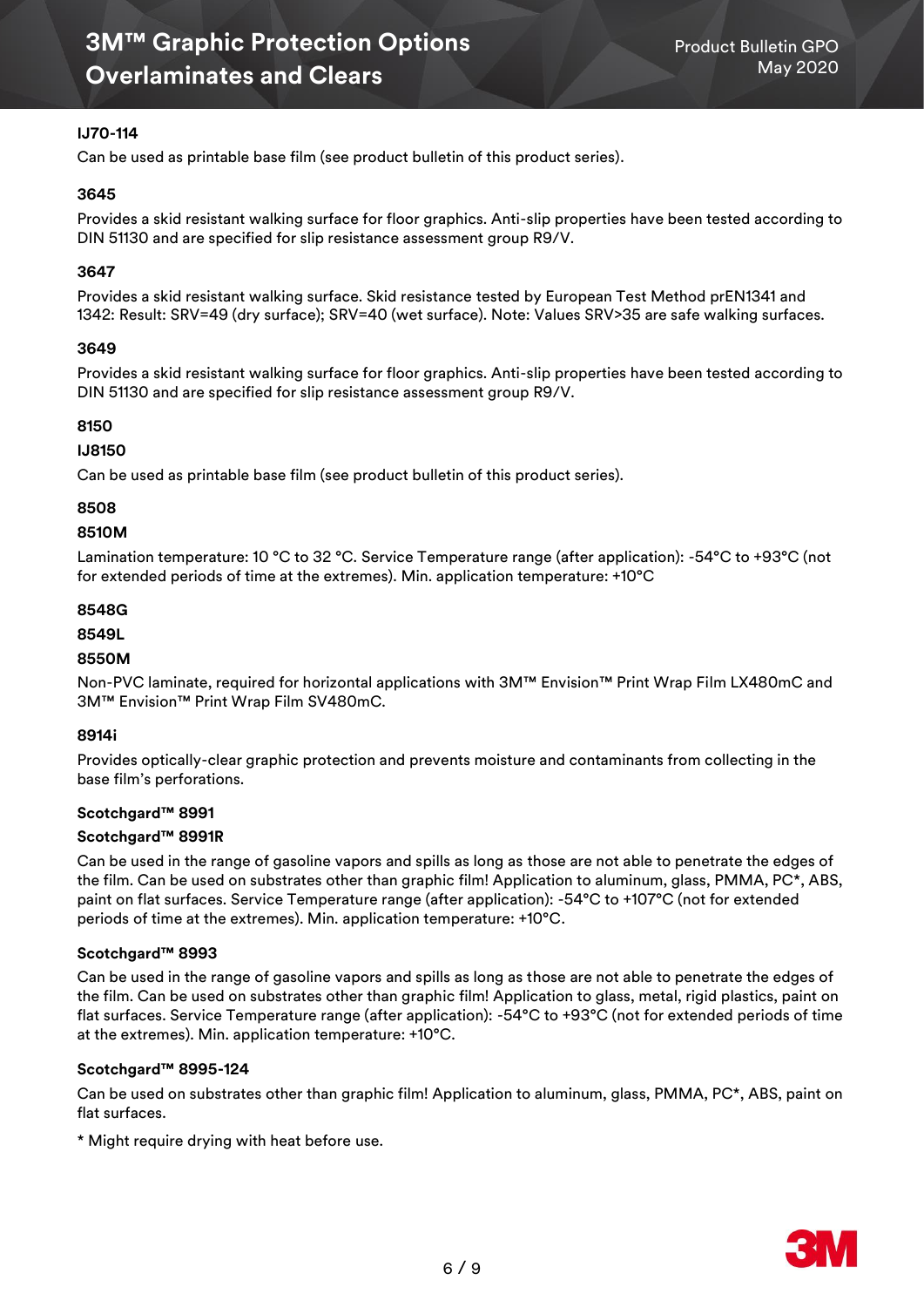### **IJ70-114**

Can be used as printable base film (see product bulletin of this product series).

#### **3645**

Provides a skid resistant walking surface for floor graphics. Anti-slip properties have been tested according to DIN 51130 and are specified for slip resistance assessment group R9/V.

### **3647**

Provides a skid resistant walking surface. Skid resistance tested by European Test Method prEN1341 and 1342: Result: SRV=49 (dry surface); SRV=40 (wet surface). Note: Values SRV>35 are safe walking surfaces.

#### **3649**

Provides a skid resistant walking surface for floor graphics. Anti-slip properties have been tested according to DIN 51130 and are specified for slip resistance assessment group R9/V.

#### **8150**

#### **IJ8150**

Can be used as printable base film (see product bulletin of this product series).

#### **8508**

#### **8510M**

Lamination temperature: 10 °C to 32 °C. Service Temperature range (after application): -54 °C to +93 °C (not for extended periods of time at the extremes). Min. application temperature: +10°C

#### **8548G**

#### **8549L**

#### **8550M**

Non-PVC laminate, required for horizontal applications with 3M™ Envision™ Print Wrap Film LX480mC and 3M™ Envision™ Print Wrap Film SV480mC.

#### **8914i**

Provides optically-clear graphic protection and prevents moisture and contaminants from collecting in the base film's perforations.

#### **Scotchgard™ 8991**

#### **Scotchgard™ 8991R**

Can be used in the range of gasoline vapors and spills as long as those are not able to penetrate the edges of the film. Can be used on substrates other than graphic film! Application to aluminum, glass, PMMA, PC\*, ABS, paint on flat surfaces. Service Temperature range (after application): -54°C to +107°C (not for extended periods of time at the extremes). Min. application temperature: +10°C.

#### **Scotchgard™ 8993**

Can be used in the range of gasoline vapors and spills as long as those are not able to penetrate the edges of the film. Can be used on substrates other than graphic film! Application to glass, metal, rigid plastics, paint on flat surfaces. Service Temperature range (after application): -54°C to +93°C (not for extended periods of time at the extremes). Min. application temperature: +10°C.

#### **Scotchgard™ 8995-124**

Can be used on substrates other than graphic film! Application to aluminum, glass, PMMA, PC\*, ABS, paint on flat surfaces.

\* Might require drying with heat before use.

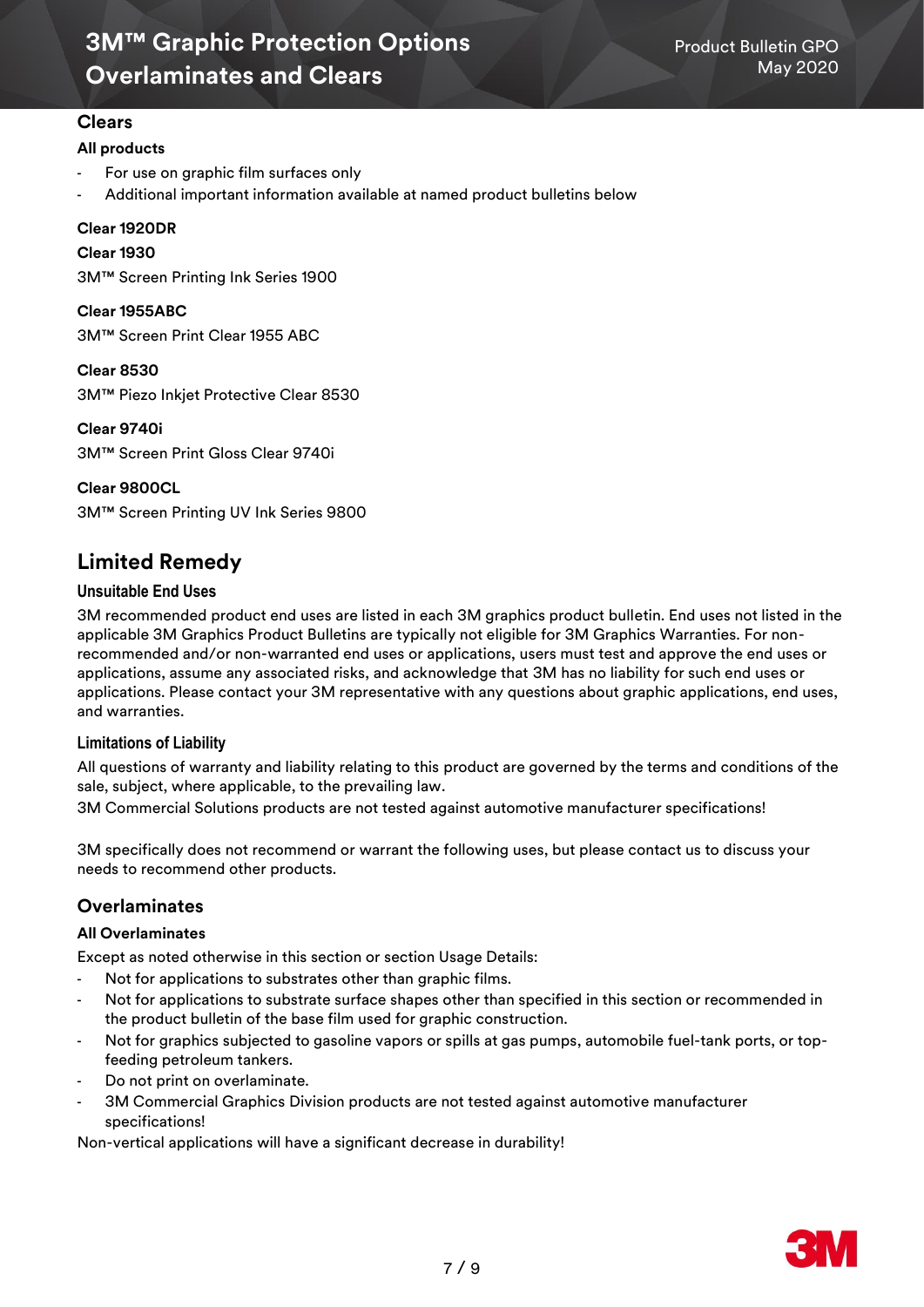## **Clears**

#### **All products**

- For use on graphic film surfaces only
- Additional important information available at named product bulletins below

#### **Clear 1920DR**

#### **Clear 1930**

3M™ Screen Printing Ink Series 1900

**Clear 1955ABC** 3M™ Screen Print Clear 1955 ABC

**Clear 8530** 3M™ Piezo Inkjet Protective Clear 8530

**Clear 9740i** 3M™ Screen Print Gloss Clear 9740i

**Clear 9800CL**

3M™ Screen Printing UV Ink Series 9800

## **Limited Remedy**

#### **Unsuitable End Uses**

3M recommended product end uses are listed in each 3M graphics product bulletin. End uses not listed in the applicable 3M Graphics Product Bulletins are typically not eligible for 3M Graphics Warranties. For nonrecommended and/or non-warranted end uses or applications, users must test and approve the end uses or applications, assume any associated risks, and acknowledge that 3M has no liability for such end uses or applications. Please contact your 3M representative with any questions about graphic applications, end uses, and warranties.

#### **Limitations of Liability**

All questions of warranty and liability relating to this product are governed by the terms and conditions of the sale, subject, where applicable, to the prevailing law.

3M Commercial Solutions products are not tested against automotive manufacturer specifications!

3M specifically does not recommend or warrant the following uses, but please contact us to discuss your needs to recommend other products.

## **Overlaminates**

#### **All Overlaminates**

Except as noted otherwise in this section or section Usage Details:

- Not for applications to substrates other than graphic films.
- Not for applications to substrate surface shapes other than specified in this section or recommended in the product bulletin of the base film used for graphic construction.
- Not for graphics subjected to gasoline vapors or spills at gas pumps, automobile fuel-tank ports, or topfeeding petroleum tankers.
- Do not print on overlaminate.
- 3M Commercial Graphics Division products are not tested against automotive manufacturer specifications!

Non-vertical applications will have a significant decrease in durability!

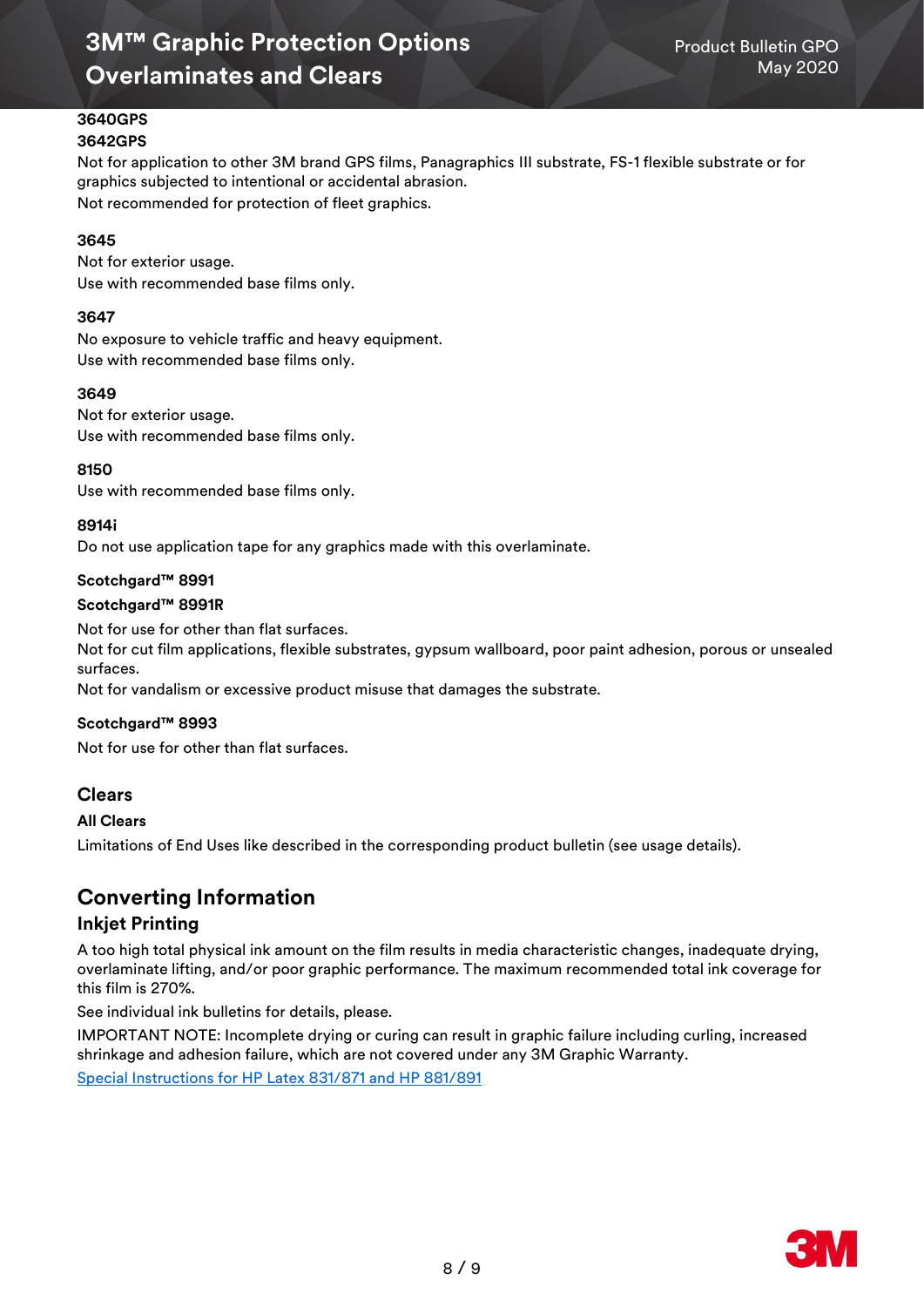#### **3640GPS 3642GPS**

Not for application to other 3M brand GPS films, Panagraphics III substrate, FS-1 flexible substrate or for graphics subjected to intentional or accidental abrasion. Not recommended for protection of fleet graphics.

#### **3645**

Not for exterior usage. Use with recommended base films only.

#### **3647**

No exposure to vehicle traffic and heavy equipment. Use with recommended base films only.

#### **3649**

Not for exterior usage. Use with recommended base films only.

#### **8150**

Use with recommended base films only.

#### **8914i**

Do not use application tape for any graphics made with this overlaminate.

#### **Scotchgard™ 8991**

#### **Scotchgard™ 8991R**

Not for use for other than flat surfaces.

Not for cut film applications, flexible substrates, gypsum wallboard, poor paint adhesion, porous or unsealed surfaces.

Not for vandalism or excessive product misuse that damages the substrate.

#### **Scotchgard™ 8993**

Not for use for other than flat surfaces.

## **Clears**

#### **All Clears**

Limitations of End Uses like described in the corresponding product bulletin (see usage details).

## **Converting Information**

#### **Inkjet Printing**

A too high total physical ink amount on the film results in media characteristic changes, inadequate drying, overlaminate lifting, and/or poor graphic performance. The maximum recommended total ink coverage for this film is 270%.

See individual ink bulletins for details, please.

IMPORTANT NOTE: Incomplete drying or curing can result in graphic failure including curling, increased shrinkage and adhesion failure, which are not covered under any 3M Graphic Warranty. [Special Instructions for HP Latex 831/871 and HP 881/891](https://multimedia.3m.com/mws/media/1814717O/hp-latex-inks-customer-information.pdf)